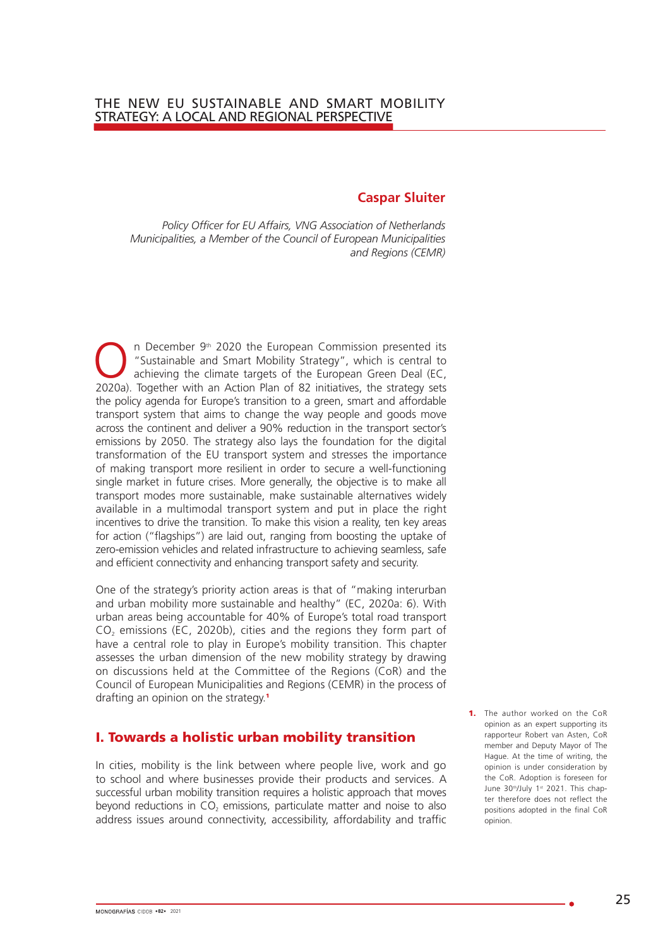### **Caspar Sluiter**

*Policy Officer for EU Affairs, VNG Association of Netherlands Municipalities, a Member of the Council of European Municipalities and Regions (CEMR)*

 $\bigodot$  n December 9<sup>th</sup> 2020 the European Commission presented its<br>
"Sustainable and Smart Mobility Strategy", which is central to<br>
achieving the climate targets of the European Green Deal (EC,<br>
2020a) Together with an Ac "Sustainable and Smart Mobility Strategy", which is central to achieving the climate targets of the European Green Deal (EC, 2020a). Together with an Action Plan of 82 initiatives, the strategy sets the policy agenda for Europe's transition to a green, smart and affordable transport system that aims to change the way people and goods move across the continent and deliver a 90% reduction in the transport sector's emissions by 2050. The strategy also lays the foundation for the digital transformation of the EU transport system and stresses the importance of making transport more resilient in order to secure a well-functioning single market in future crises. More generally, the objective is to make all transport modes more sustainable, make sustainable alternatives widely available in a multimodal transport system and put in place the right incentives to drive the transition. To make this vision a reality, ten key areas for action ("flagships") are laid out, ranging from boosting the uptake of zero-emission vehicles and related infrastructure to achieving seamless, safe and efficient connectivity and enhancing transport safety and security.

One of the strategy's priority action areas is that of "making interurban and urban mobility more sustainable and healthy" (EC, 2020a: 6). With urban areas being accountable for 40% of Europe's total road transport  $CO<sub>2</sub>$  emissions (EC, 2020b), cities and the regions they form part of have a central role to play in Europe's mobility transition. This chapter assesses the urban dimension of the new mobility strategy by drawing on discussions held at the Committee of the Regions (CoR) and the Council of European Municipalities and Regions (CEMR) in the process of drafting an opinion on the strategy.<sup>1</sup>

# I. Towards a holistic urban mobility transition

In cities, mobility is the link between where people live, work and go to school and where businesses provide their products and services. A successful urban mobility transition requires a holistic approach that moves beyond reductions in  $CO<sub>2</sub>$  emissions, particulate matter and noise to also address issues around connectivity, accessibility, affordability and traffic 1. The author worked on the CoR opinion as an expert supporting its rapporteur Robert van Asten, CoR member and Deputy Mayor of The Hague. At the time of writing, the opinion is under consideration by the CoR. Adoption is foreseen for June 30th/July 1st 2021. This chapter therefore does not reflect the positions adopted in the final CoR opinion.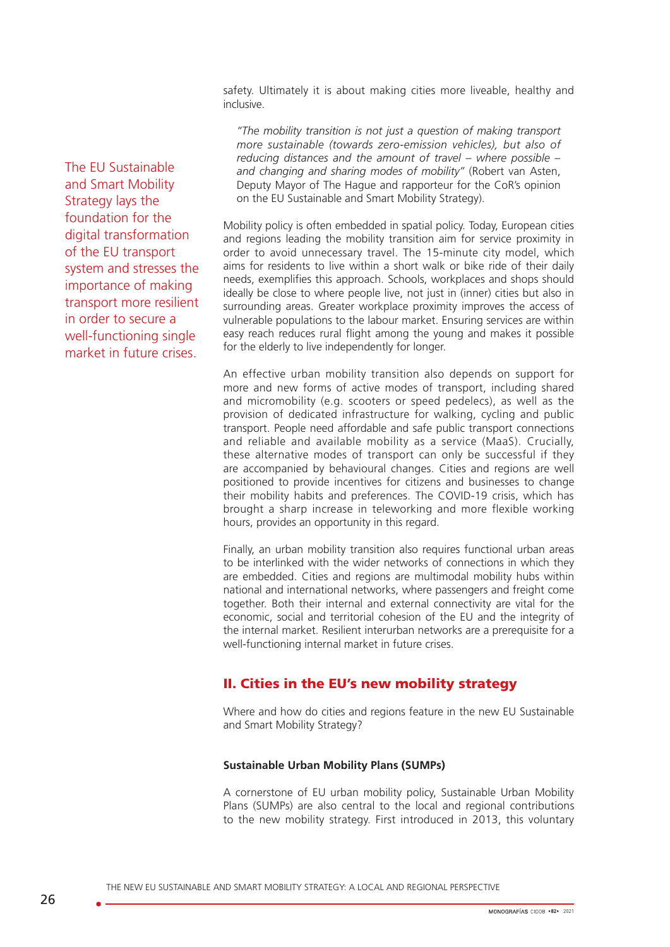safety. Ultimately it is about making cities more liveable, healthy and inclusive.

*"The mobility transition is not just a question of making transport more sustainable (towards zero-emission vehicles), but also of reducing distances and the amount of travel – where possible – and changing and sharing modes of mobility"* (Robert van Asten, Deputy Mayor of The Hague and rapporteur for the CoR's opinion on the EU Sustainable and Smart Mobility Strategy).

Mobility policy is often embedded in spatial policy. Today, European cities and regions leading the mobility transition aim for service proximity in order to avoid unnecessary travel. The 15-minute city model, which aims for residents to live within a short walk or bike ride of their daily needs, exemplifies this approach. Schools, workplaces and shops should ideally be close to where people live, not just in (inner) cities but also in surrounding areas. Greater workplace proximity improves the access of vulnerable populations to the labour market. Ensuring services are within easy reach reduces rural flight among the young and makes it possible for the elderly to live independently for longer.

An effective urban mobility transition also depends on support for more and new forms of active modes of transport, including shared and micromobility (e.g. scooters or speed pedelecs), as well as the provision of dedicated infrastructure for walking, cycling and public transport. People need affordable and safe public transport connections and reliable and available mobility as a service (MaaS). Crucially, these alternative modes of transport can only be successful if they are accompanied by behavioural changes. Cities and regions are well positioned to provide incentives for citizens and businesses to change their mobility habits and preferences. The COVID-19 crisis, which has brought a sharp increase in teleworking and more flexible working hours, provides an opportunity in this regard.

Finally, an urban mobility transition also requires functional urban areas to be interlinked with the wider networks of connections in which they are embedded. Cities and regions are multimodal mobility hubs within national and international networks, where passengers and freight come together. Both their internal and external connectivity are vital for the economic, social and territorial cohesion of the EU and the integrity of the internal market. Resilient interurban networks are a prerequisite for a well-functioning internal market in future crises.

# II. Cities in the EU's new mobility strategy

Where and how do cities and regions feature in the new EU Sustainable and Smart Mobility Strategy?

#### **Sustainable Urban Mobility Plans (SUMPs)**

A cornerstone of EU urban mobility policy, Sustainable Urban Mobility Plans (SUMPs) are also central to the local and regional contributions to the new mobility strategy. First introduced in 2013, this voluntary

The EU Sustainable and Smart Mobility Strategy lays the foundation for the digital transformation of the EU transport system and stresses the importance of making transport more resilient in order to secure a well-functioning single market in future crises.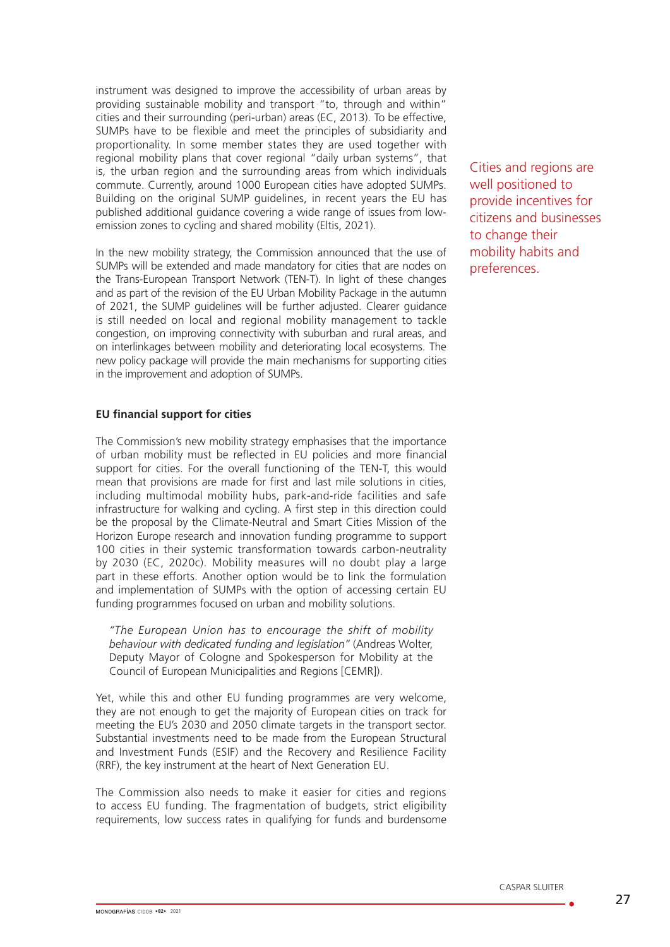instrument was designed to improve the accessibility of urban areas by providing sustainable mobility and transport "to, through and within" cities and their surrounding (peri-urban) areas (EC, 2013). To be effective, SUMPs have to be flexible and meet the principles of subsidiarity and proportionality. In some member states they are used together with regional mobility plans that cover regional "daily urban systems", that is, the urban region and the surrounding areas from which individuals commute. Currently, around 1000 European cities have adopted SUMPs. Building on the original SUMP guidelines, in recent years the EU has published additional guidance covering a wide range of issues from lowemission zones to cycling and shared mobility (Eltis, 2021).

In the new mobility strategy, the Commission announced that the use of SUMPs will be extended and made mandatory for cities that are nodes on the Trans-European Transport Network (TEN-T). In light of these changes and as part of the revision of the EU Urban Mobility Package in the autumn of 2021, the SUMP guidelines will be further adjusted. Clearer guidance is still needed on local and regional mobility management to tackle congestion, on improving connectivity with suburban and rural areas, and on interlinkages between mobility and deteriorating local ecosystems. The new policy package will provide the main mechanisms for supporting cities in the improvement and adoption of SUMPs.

#### **EU financial support for cities**

The Commission's new mobility strategy emphasises that the importance of urban mobility must be reflected in EU policies and more financial support for cities. For the overall functioning of the TEN-T, this would mean that provisions are made for first and last mile solutions in cities, including multimodal mobility hubs, park-and-ride facilities and safe infrastructure for walking and cycling. A first step in this direction could be the proposal by the Climate-Neutral and Smart Cities Mission of the Horizon Europe research and innovation funding programme to support 100 cities in their systemic transformation towards carbon-neutrality by 2030 (EC, 2020c). Mobility measures will no doubt play a large part in these efforts. Another option would be to link the formulation and implementation of SUMPs with the option of accessing certain EU funding programmes focused on urban and mobility solutions.

*"The European Union has to encourage the shift of mobility behaviour with dedicated funding and legislation"* (Andreas Wolter, Deputy Mayor of Cologne and Spokesperson for Mobility at the Council of European Municipalities and Regions [CEMR]).

Yet, while this and other EU funding programmes are very welcome, they are not enough to get the majority of European cities on track for meeting the EU's 2030 and 2050 climate targets in the transport sector. Substantial investments need to be made from the European Structural and Investment Funds (ESIF) and the Recovery and Resilience Facility (RRF), the key instrument at the heart of Next Generation EU.

The Commission also needs to make it easier for cities and regions to access EU funding. The fragmentation of budgets, strict eligibility requirements, low success rates in qualifying for funds and burdensome Cities and regions are well positioned to provide incentives for citizens and businesses to change their mobility habits and preferences.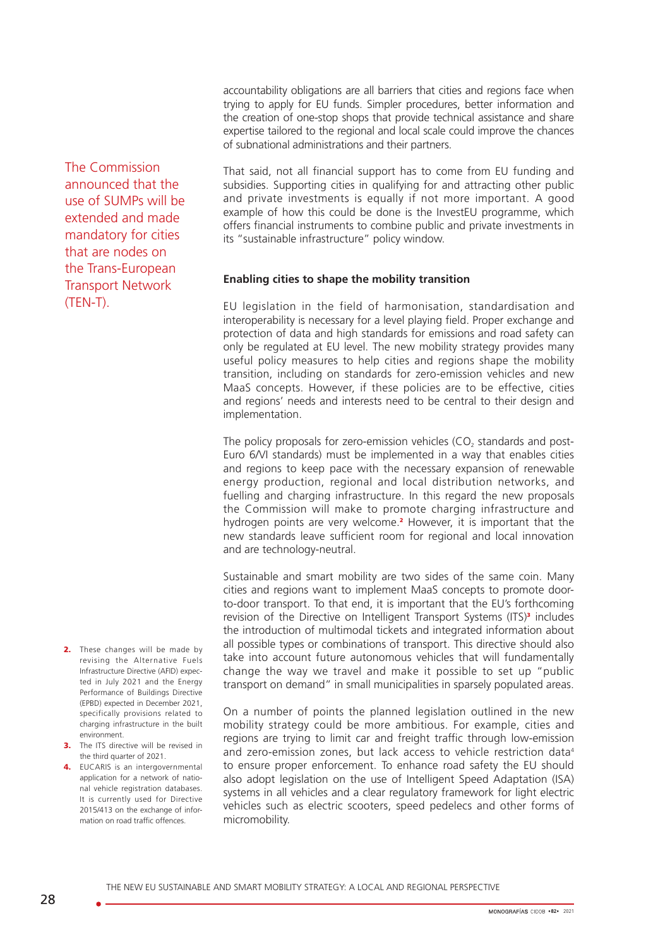accountability obligations are all barriers that cities and regions face when trying to apply for EU funds. Simpler procedures, better information and the creation of one-stop shops that provide technical assistance and share expertise tailored to the regional and local scale could improve the chances of subnational administrations and their partners.

The Commission announced that the use of SUMPs will be extended and made mandatory for cities that are nodes on the Trans-European Transport Network (TEN-T).

That said, not all financial support has to come from EU funding and subsidies. Supporting cities in qualifying for and attracting other public and private investments is equally if not more important. A good example of how this could be done is the InvestEU programme, which offers financial instruments to combine public and private investments in its "sustainable infrastructure" policy window.

#### **Enabling cities to shape the mobility transition**

EU legislation in the field of harmonisation, standardisation and interoperability is necessary for a level playing field. Proper exchange and protection of data and high standards for emissions and road safety can only be regulated at EU level. The new mobility strategy provides many useful policy measures to help cities and regions shape the mobility transition, including on standards for zero-emission vehicles and new MaaS concepts. However, if these policies are to be effective, cities and regions' needs and interests need to be central to their design and implementation.

The policy proposals for zero-emission vehicles  $(CO<sub>2</sub>)$  standards and post-Euro 6/VI standards) must be implemented in a way that enables cities and regions to keep pace with the necessary expansion of renewable energy production, regional and local distribution networks, and fuelling and charging infrastructure. In this regard the new proposals the Commission will make to promote charging infrastructure and hydrogen points are very welcome.<sup>2</sup> However, it is important that the new standards leave sufficient room for regional and local innovation and are technology-neutral.

Sustainable and smart mobility are two sides of the same coin. Many cities and regions want to implement MaaS concepts to promote doorto-door transport. To that end, it is important that the EU's forthcoming revision of the Directive on Intelligent Transport Systems  $(ITS)<sup>3</sup>$  includes the introduction of multimodal tickets and integrated information about all possible types or combinations of transport. This directive should also take into account future autonomous vehicles that will fundamentally change the way we travel and make it possible to set up "public transport on demand" in small municipalities in sparsely populated areas.

On a number of points the planned legislation outlined in the new mobility strategy could be more ambitious. For example, cities and regions are trying to limit car and freight traffic through low-emission and zero-emission zones, but lack access to vehicle restriction data<sup>4</sup> to ensure proper enforcement. To enhance road safety the EU should also adopt legislation on the use of Intelligent Speed Adaptation (ISA) systems in all vehicles and a clear regulatory framework for light electric vehicles such as electric scooters, speed pedelecs and other forms of micromobility.

- 2. These changes will be made by revising the Alternative Fuels Infrastructure Directive (AFID) expected in July 2021 and the Energy Performance of Buildings Directive (EPBD) expected in December 2021, specifically provisions related to charging infrastructure in the built environment.
- **3.** The ITS directive will be revised in the third quarter of 2021.
- 4. EUCARIS is an intergovernmental application for a network of national vehicle registration databases. It is currently used for Directive 2015/413 on the exchange of information on road traffic offences.